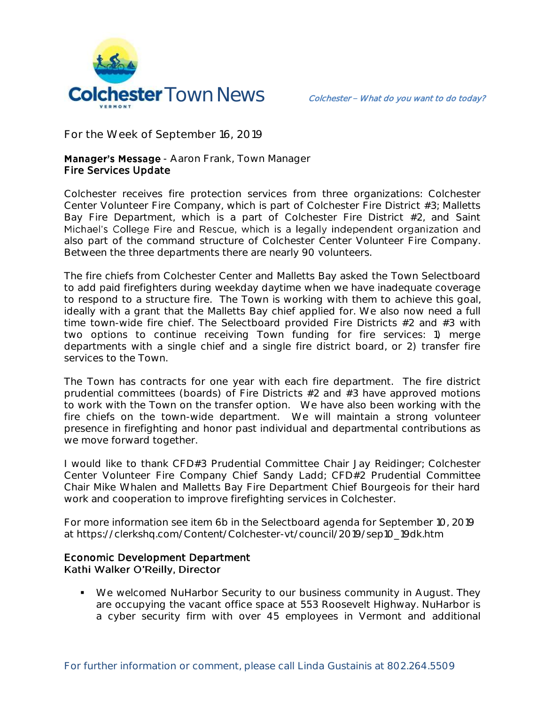

**For the Week of September 16, 2019**

### **Manager's Message** - Aaron Frank, Town Manager Fire Services Update

Colchester receives fire protection services from three organizations: Colchester Center Volunteer Fire Company, which is part of Colchester Fire District #3; Malletts Bay Fire Department, which is a part of Colchester Fire District #2, and Saint Michael's College Fire and Rescue, which is a legally independent organization and also part of the command structure of Colchester Center Volunteer Fire Company. Between the three departments there are nearly 90 volunteers.

The fire chiefs from Colchester Center and Malletts Bay asked the Town Selectboard to add paid firefighters during weekday daytime when we have inadequate coverage to respond to a structure fire. The Town is working with them to achieve this goal, ideally with a grant that the Malletts Bay chief applied for. We also now need a full time town-wide fire chief. The Selectboard provided Fire Districts #2 and #3 with two options to continue receiving Town funding for fire services: 1) merge departments with a single chief and a single fire district board, or 2) transfer fire services to the Town.

The Town has contracts for one year with each fire department. The fire district prudential committees (boards) of Fire Districts #2 and #3 have approved motions to work with the Town on the transfer option. We have also been working with the fire chiefs on the town-wide department. We will maintain a strong volunteer presence in firefighting and honor past individual and departmental contributions as we move forward together.

I would like to thank CFD#3 Prudential Committee Chair Jay Reidinger; Colchester Center Volunteer Fire Company Chief Sandy Ladd; CFD#2 Prudential Committee Chair Mike Whalen and Malletts Bay Fire Department Chief Bourgeois for their hard work and cooperation to improve firefighting services in Colchester.

For more information see item 6b in the Selectboard agenda for September 10, 2019 at https://clerkshq.com/Content/Colchester-vt/council/2019/sep10\_19dk.htm

### Economic Development Department Kathi Walker O'Reilly, Director

 We welcomed NuHarbor Security to our business community in August. They are occupying the vacant office space at 553 Roosevelt Highway. NuHarbor is a cyber security firm with over 45 employees in Vermont and additional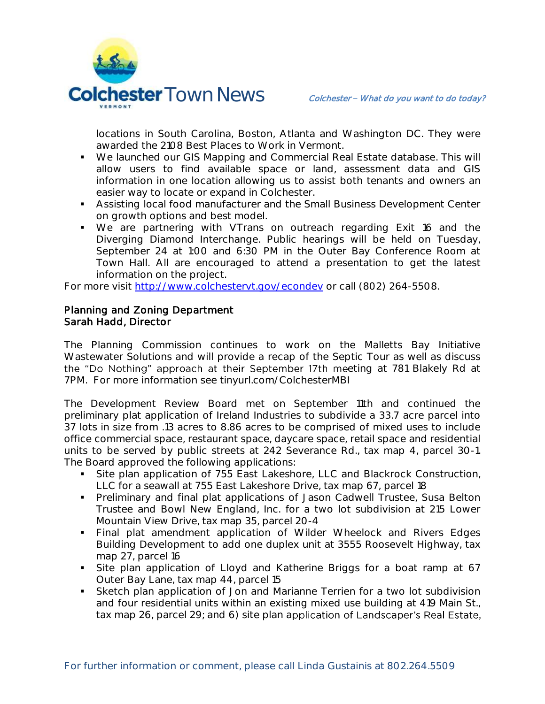

locations in South Carolina, Boston, Atlanta and Washington DC. They were awarded the 2108 Best Places to Work in Vermont.

- We launched our GIS Mapping and Commercial Real Estate database. This will allow users to find available space or land, assessment data and GIS information in one location allowing us to assist both tenants and owners an easier way to locate or expand in Colchester.
- Assisting local food manufacturer and the Small Business Development Center on growth options and best model.
- We are partnering with VTrans on outreach regarding Exit 16 and the Diverging Diamond Interchange. Public hearings will be held on Tuesday, September 24 at 1:00 and 6:30 PM in the Outer Bay Conference Room at Town Hall. All are encouraged to attend a presentation to get the latest information on the project.

For more visit [http://www.colchestervt.gov/e](http://www.colchestervt.gov/)condev or call (802) 264-5508.

### Planning and Zoning Department Sarah Hadd, Director

The Planning Commission continues to work on the Malletts Bay Initiative Wastewater Solutions and will provide a recap of the Septic Tour as well as discuss the "Do Nothing" approach at their September 17th meeting at 781 Blakely Rd at 7PM. For more information see tinyurl.com/ColchesterMBI

The Development Review Board met on September 11th and continued the preliminary plat application of Ireland Industries to subdivide a 33.7 acre parcel into 37 lots in size from .13 acres to 8.86 acres to be comprised of mixed uses to include office commercial space, restaurant space, daycare space, retail space and residential units to be served by public streets at 242 Severance Rd., tax map 4, parcel 30-1. The Board approved the following applications:

- Site plan application of 755 East Lakeshore, LLC and Blackrock Construction, LLC for a seawall at 755 East Lakeshore Drive, tax map 67, parcel 18
- **Preliminary and final plat applications of Jason Cadwell Trustee, Susa Belton** Trustee and Bowl New England, Inc. for a two lot subdivision at 215 Lower Mountain View Drive, tax map 35, parcel 20-4
- **Final plat amendment application of Wilder Wheelock and Rivers Edges** Building Development to add one duplex unit at 3555 Roosevelt Highway, tax map 27, parcel 16
- Site plan application of Lloyd and Katherine Briggs for a boat ramp at 67 Outer Bay Lane, tax map 44, parcel 15
- Sketch plan application of Jon and Marianne Terrien for a two lot subdivision and four residential units within an existing mixed use building at 419 Main St., tax map 26, parcel 29; and 6) site plan application of Landscaper's Real Estate,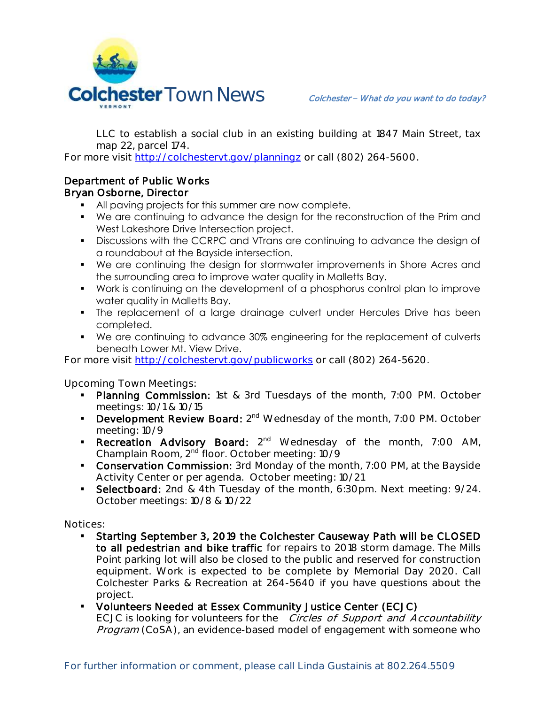

LLC to establish a social club in an existing building at 1847 Main Street, tax map 22, parcel 174.

For more visit<http://colchestervt.gov/planningz> or call (802) 264-5600.

# Department of Public Works

## Bryan Osborne, Director

- **All paving projects for this summer are now complete.**
- We are continuing to advance the design for the reconstruction of the Prim and West Lakeshore Drive Intersection project.
- Discussions with the CCRPC and VTrans are continuing to advance the design of a roundabout at the Bayside intersection.
- We are continuing the design for stormwater improvements in Shore Acres and the surrounding area to improve water quality in Malletts Bay.
- Work is continuing on the development of a phosphorus control plan to improve water quality in Malletts Bay.
- The replacement of a large drainage culvert under Hercules Drive has been completed.
- We are continuing to advance 30% engineering for the replacement of culverts beneath Lower Mt. View Drive.

For more visit<http://colchestervt.gov/publicworks> or call (802) 264-5620.

**Upcoming Town Meetings:** 

- Planning Commission: 1st & 3rd Tuesdays of the month, 7:00 PM. October meetings: 10/1 & 10/15
- **Development Review Board:**  $2^{nd}$  Wednesday of the month, 7:00 PM. October meeting: 10/9
- Recreation Advisory Board: 2<sup>nd</sup> Wednesday of the month, 7:00 AM, Champlain Room, 2nd floor. October meeting: 10/9
- **Conservation Commission:** 3rd Monday of the month, 7:00 PM, at the Bayside Activity Center or per agenda. October meeting: 10/21
- Selectboard: 2nd & 4th Tuesday of the month, 6:30pm. Next meeting: 9/24. October meetings: 10/8 & 10/22

**Notices:**

- Starting September 3, 2019 the Colchester Causeway Path will be CLOSED to all pedestrian and bike traffic for repairs to 2018 storm damage. The Mills Point parking lot will also be closed to the public and reserved for construction equipment. Work is expected to be complete by Memorial Day 2020. Call Colchester Parks & Recreation at 264-5640 if you have questions about the project.
- Volunteers Needed at Essex Community Justice Center (ECJC) ECJC is looking for volunteers for the *Circles of Support and Accountability* Program (CoSA), an evidence-based model of engagement with someone who